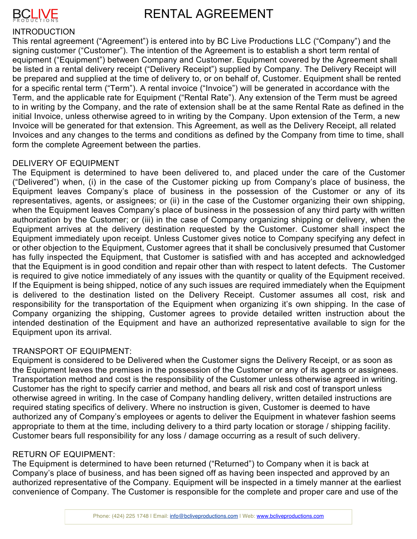

### RENTAL AGREEMENT

### **INTRODUCTION**

This rental agreement ("Agreement") is entered into by BC Live Productions LLC ("Company") and the signing customer ("Customer"). The intention of the Agreement is to establish a short term rental of equipment ("Equipment") between Company and Customer. Equipment covered by the Agreement shall be listed in a rental delivery receipt ("Delivery Receipt") supplied by Company. The Delivery Receipt will be prepared and supplied at the time of delivery to, or on behalf of, Customer. Equipment shall be rented for a specific rental term ("Term"). A rental invoice ("Invoice") will be generated in accordance with the Term, and the applicable rate for Equipment ("Rental Rate"). Any extension of the Term must be agreed to in writing by the Company, and the rate of extension shall be at the same Rental Rate as defined in the initial Invoice, unless otherwise agreed to in writing by the Company. Upon extension of the Term, a new Invoice will be generated for that extension. This Agreement, as well as the Delivery Receipt, all related Invoices and any changes to the terms and conditions as defined by the Company from time to time, shall form the complete Agreement between the parties.

### DELIVERY OF EQUIPMENT

The Equipment is determined to have been delivered to, and placed under the care of the Customer ("Delivered") when, (i) in the case of the Customer picking up from Company's place of business, the Equipment leaves Company's place of business in the possession of the Customer or any of its representatives, agents, or assignees; or (ii) in the case of the Customer organizing their own shipping, when the Equipment leaves Company's place of business in the possession of any third party with written authorization by the Customer; or (iii) in the case of Company organizing shipping or delivery, when the Equipment arrives at the delivery destination requested by the Customer. Customer shall inspect the Equipment immediately upon receipt. Unless Customer gives notice to Company specifying any defect in or other objection to the Equipment, Customer agrees that it shall be conclusively presumed that Customer has fully inspected the Equipment, that Customer is satisfied with and has accepted and acknowledged that the Equipment is in good condition and repair other than with respect to latent defects. The Customer is required to give notice immediately of any issues with the quantity or quality of the Equipment received. If the Equipment is being shipped, notice of any such issues are required immediately when the Equipment is delivered to the destination listed on the Delivery Receipt. Customer assumes all cost, risk and responsibility for the transportation of the Equipment when organizing it's own shipping. In the case of Company organizing the shipping, Customer agrees to provide detailed written instruction about the intended destination of the Equipment and have an authorized representative available to sign for the Equipment upon its arrival.

### TRANSPORT OF EQUIPMENT:

Equipment is considered to be Delivered when the Customer signs the Delivery Receipt, or as soon as the Equipment leaves the premises in the possession of the Customer or any of its agents or assignees. Transportation method and cost is the responsibility of the Customer unless otherwise agreed in writing. Customer has the right to specify carrier and method, and bears all risk and cost of transport unless otherwise agreed in writing. In the case of Company handling delivery, written detailed instructions are required stating specifics of delivery. Where no instruction is given, Customer is deemed to have authorized any of Company's employees or agents to deliver the Equipment in whatever fashion seems appropriate to them at the time, including delivery to a third party location or storage / shipping facility. Customer bears full responsibility for any loss / damage occurring as a result of such delivery.

### RETURN OF EQUIPMENT:

The Equipment is determined to have been returned ("Returned") to Company when it is back at Company's place of business, and has been signed off as having been inspected and approved by an authorized representative of the Company. Equipment will be inspected in a timely manner at the earliest convenience of Company. The Customer is responsible for the complete and proper care and use of the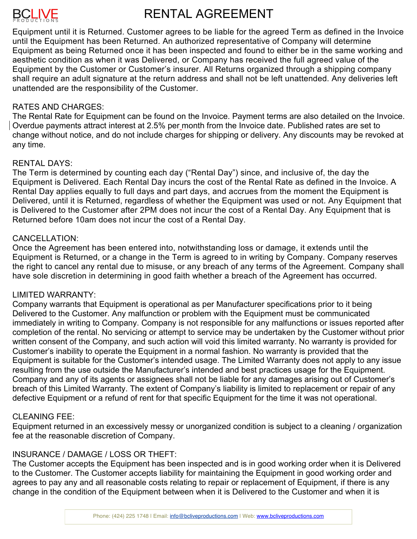## **BCLIVE**

## RENTAL AGREEMENT

Equipment until it is Returned. Customer agrees to be liable for the agreed Term as defined in the Invoice until the Equipment has been Returned. An authorized representative of Company will determine Equipment as being Returned once it has been inspected and found to either be in the same working and aesthetic condition as when it was Delivered, or Company has received the full agreed value of the Equipment by the Customer or Customer's insurer. All Returns organized through a shipping company shall require an adult signature at the return address and shall not be left unattended. Any deliveries left unattended are the responsibility of the Customer.

### RATES AND CHARGES:

The Rental Rate for Equipment can be found on the Invoice. Payment terms are also detailed on the Invoice. Overdue payments attract interest at 2.5% per month from the Invoice date. Published rates are set to change without notice, and do not include charges for shipping or delivery. Any discounts may be revoked at any time.

### RENTAL DAYS:

The Term is determined by counting each day ("Rental Day") since, and inclusive of, the day the Equipment is Delivered. Each Rental Day incurs the cost of the Rental Rate as defined in the Invoice. A Rental Day applies equally to full days and part days, and accrues from the moment the Equipment is Delivered, until it is Returned, regardless of whether the Equipment was used or not. Any Equipment that is Delivered to the Customer after 2PM does not incur the cost of a Rental Day. Any Equipment that is Returned before 10am does not incur the cost of a Rental Day.

### CANCELLATION:

Once the Agreement has been entered into, notwithstanding loss or damage, it extends until the Equipment is Returned, or a change in the Term is agreed to in writing by Company. Company reserves the right to cancel any rental due to misuse, or any breach of any terms of the Agreement. Company shall have sole discretion in determining in good faith whether a breach of the Agreement has occurred.

### LIMITED WARRANTY:

Company warrants that Equipment is operational as per Manufacturer specifications prior to it being Delivered to the Customer. Any malfunction or problem with the Equipment must be communicated immediately in writing to Company. Company is not responsible for any malfunctions or issues reported after completion of the rental. No servicing or attempt to service may be undertaken by the Customer without prior written consent of the Company, and such action will void this limited warranty. No warranty is provided for Customer's inability to operate the Equipment in a normal fashion. No warranty is provided that the Equipment is suitable for the Customer's intended usage. The Limited Warranty does not apply to any issue resulting from the use outside the Manufacturer's intended and best practices usage for the Equipment. Company and any of its agents or assignees shall not be liable for any damages arising out of Customer's breach of this Limited Warranty. The extent of Company's liability is limited to replacement or repair of any defective Equipment or a refund of rent for that specific Equipment for the time it was not operational.

### CLEANING FEE:

Equipment returned in an excessively messy or unorganized condition is subject to a cleaning / organization fee at the reasonable discretion of Company.

### INSURANCE / DAMAGE / LOSS OR THEFT:

The Customer accepts the Equipment has been inspected and is in good working order when it is Delivered to the Customer. The Customer accepts liability for maintaining the Equipment in good working order and agrees to pay any and all reasonable costs relating to repair or replacement of Equipment, if there is any change in the condition of the Equipment between when it is Delivered to the Customer and when it is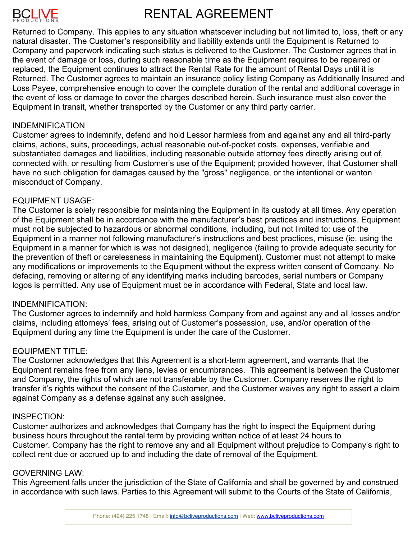# BCLIVE

## RENTAL AGREEMENT

Returned to Company. This applies to any situation whatsoever including but not limited to, loss, theft or any natural disaster. The Customer's responsibility and liability extends until the Equipment is Returned to Company and paperwork indicating such status is delivered to the Customer. The Customer agrees that in the event of damage or loss, during such reasonable time as the Equipment requires to be repaired or replaced, the Equipment continues to attract the Rental Rate for the amount of Rental Days until it is Returned. The Customer agrees to maintain an insurance policy listing Company as Additionally Insured and Loss Payee, comprehensive enough to cover the complete duration of the rental and additional coverage in the event of loss or damage to cover the charges described herein. Such insurance must also cover the Equipment in transit, whether transported by the Customer or any third party carrier.

### INDEMNIFICATION

Customer agrees to indemnify, defend and hold Lessor harmless from and against any and all third-party claims, actions, suits, proceedings, actual reasonable out-of-pocket costs, expenses, verifiable and substantiated damages and liabilities, including reasonable outside attorney fees directly arising out of, connected with, or resulting from Customer's use of the Equipment; provided however, that Customer shall have no such obligation for damages caused by the "gross" negligence, or the intentional or wanton misconduct of Company.

### EQUIPMENT USAGE:

The Customer is solely responsible for maintaining the Equipment in its custody at all times. Any operation of the Equipment shall be in accordance with the manufacturer's best practices and instructions. Equipment must not be subjected to hazardous or abnormal conditions, including, but not limited to: use of the Equipment in a manner not following manufacturer's instructions and best practices, misuse (ie. using the Equipment in a manner for which is was not designed), negligence (failing to provide adequate security for the prevention of theft or carelessness in maintaining the Equipment). Customer must not attempt to make any modifications or improvements to the Equipment without the express written consent of Company. No defacing, removing or altering of any identifying marks including barcodes, serial numbers or Company logos is permitted. Any use of Equipment must be in accordance with Federal, State and local law.

### INDEMNIFICATION:

The Customer agrees to indemnify and hold harmless Company from and against any and all losses and/or claims, including attorneys' fees, arising out of Customer's possession, use, and/or operation of the Equipment during any time the Equipment is under the care of the Customer.

### EQUIPMENT TITLE:

The Customer acknowledges that this Agreement is a short-term agreement, and warrants that the Equipment remains free from any liens, levies or encumbrances. This agreement is between the Customer and Company, the rights of which are not transferable by the Customer. Company reserves the right to transfer it's rights without the consent of the Customer, and the Customer waives any right to assert a claim against Company as a defense against any such assignee.

### INSPECTION:

Customer authorizes and acknowledges that Company has the right to inspect the Equipment during business hours throughout the rental term by providing written notice of at least 24 hours to Customer. Company has the right to remove any and all Equipment without prejudice to Company's right to collect rent due or accrued up to and including the date of removal of the Equipment.

### GOVERNING LAW:

This Agreement falls under the jurisdiction of the State of California and shall be governed by and construed in accordance with such laws. Parties to this Agreement will submit to the Courts of the State of California,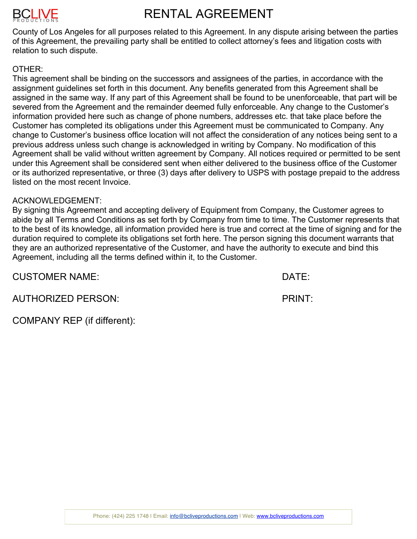

### RENTAL AGREEMENT

County of Los Angeles for all purposes related to this Agreement. In any dispute arising between the parties of this Agreement, the prevailing party shall be entitled to collect attorney's fees and litigation costs with relation to such dispute.

### OTHER:

This agreement shall be binding on the successors and assignees of the parties, in accordance with the assignment guidelines set forth in this document. Any benefits generated from this Agreement shall be assigned in the same way. If any part of this Agreement shall be found to be unenforceable, that part will be severed from the Agreement and the remainder deemed fully enforceable. Any change to the Customer's information provided here such as change of phone numbers, addresses etc. that take place before the Customer has completed its obligations under this Agreement must be communicated to Company. Any change to Customer's business office location will not affect the consideration of any notices being sent to a previous address unless such change is acknowledged in writing by Company. No modification of this Agreement shall be valid without written agreement by Company. All notices required or permitted to be sent under this Agreement shall be considered sent when either delivered to the business office of the Customer or its authorized representative, or three (3) days after delivery to USPS with postage prepaid to the address listed on the most recent Invoice.

### ACKNOWLEDGEMENT:

By signing this Agreement and accepting delivery of Equipment from Company, the Customer agrees to abide by all Terms and Conditions as set forth by Company from time to time. The Customer represents that to the best of its knowledge, all information provided here is true and correct at the time of signing and for the duration required to complete its obligations set forth here. The person signing this document warrants that they are an authorized representative of the Customer, and have the authority to execute and bind this Agreement, including all the terms defined within it, to the Customer.

CUSTOMER NAME: DATE:

AUTHORIZED PERSON: PRINT:

COMPANY REP (if different):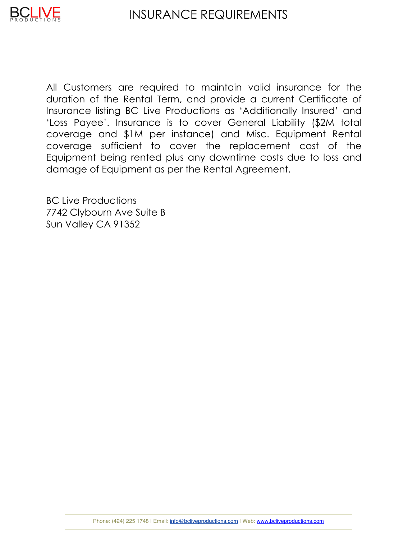

All Customers are required to maintain valid insurance for the duration of the Rental Term, and provide a current Certificate of Insurance listing BC Live Productions as 'Additionally Insured' and 'Loss Payee'. Insurance is to cover General Liability (\$2M total coverage and \$1M per instance) and Misc. Equipment Rental coverage sufficient to cover the replacement cost of the Equipment being rented plus any downtime costs due to loss and damage of Equipment as per the Rental Agreement.

BC Live Productions 7742 Clybourn Ave Suite B Sun Valley CA 91352